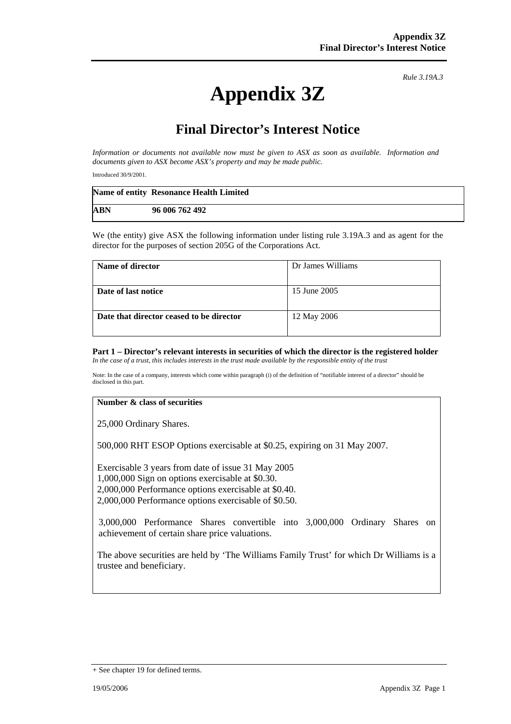# **Appendix 3Z**

*Rule 3.19A.3*

## **Final Director's Interest Notice**

*Information or documents not available now must be given to ASX as soon as available. Information and documents given to ASX become ASX's property and may be made public.* 

Introduced 30/9/2001.

|            | Name of entity Resonance Health Limited |
|------------|-----------------------------------------|
| <b>ABN</b> | 96 006 762 492                          |

We (the entity) give ASX the following information under listing rule 3.19A.3 and as agent for the director for the purposes of section 205G of the Corporations Act.

| Name of director                         | Dr James Williams |
|------------------------------------------|-------------------|
|                                          |                   |
| Date of last notice                      | 15 June 2005      |
|                                          |                   |
| Date that director ceased to be director | 12 May 2006       |
|                                          |                   |

#### **Part 1 – Director's relevant interests in securities of which the director is the registered holder** *In the case of a trust, this includes interests in the trust made available by the responsible entity of the trust*

Note: In the case of a company, interests which come within paragraph (i) of the definition of "notifiable interest of a director" should be disclosed in this part.

#### **Number & class of securities**

25,000 Ordinary Shares.

500,000 RHT ESOP Options exercisable at \$0.25, expiring on 31 May 2007.

Exercisable 3 years from date of issue 31 May 2005 1,000,000 Sign on options exercisable at \$0.30. 2,000,000 Performance options exercisable at \$0.40. 2,000,000 Performance options exercisable of \$0.50.

3,000,000 Performance Shares convertible into 3,000,000 Ordinary Shares on achievement of certain share price valuations.

The above securities are held by 'The Williams Family Trust' for which Dr Williams is a trustee and beneficiary.

<sup>+</sup> See chapter 19 for defined terms.